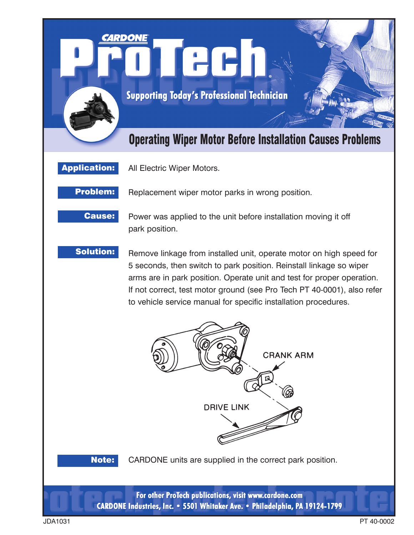